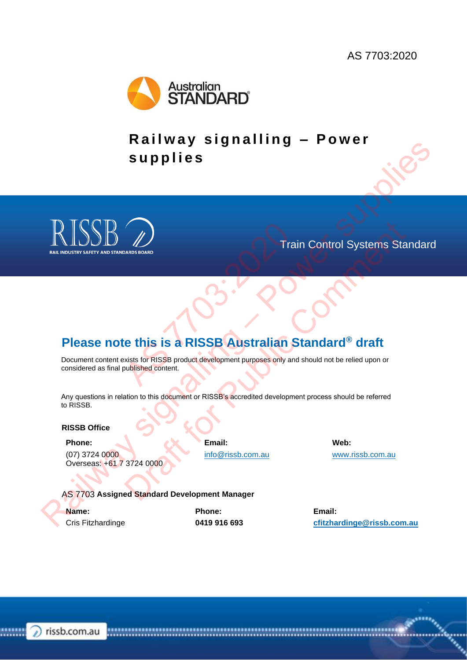

**Railway signalling - Power s u p p l i e s** RAISSB  $\omega$ <br>
Please note this is a RISSB Australian Standard<sup>®</sup> draft<br>
Designation is religion to the STRIP of the Control of the Control of the Control of the Control of the Control of the Control of the Control of the C



<span id="page-0-0"></span>Train Control Systems Standard

# **Please note this is a RISSB Australian Standard® draft**

Document content exists for RISSB product development purposes only and should not be relied upon or considered as final published content. AS 7703:2020

Any questions in relation to this document or RISSB's accredited development process should be referred to RISSB. MADS BOARD FIRE CONTROL SYSTEMS States<br>
Train Control Systems States<br>
We this is a RISSB Australian Standard® draft<br>
wists for RISSB product development purposes only and should not be relied upon or<br>
ation to this doeumen

#### **RISSB Office**

#### **Phone:**

(07) 3724 0000 Overseas: +61 7 3724 0000 **Email:** info@rissb.com.au **Web:** www.rissb.com.au

AS 7703 **Assigned Standard Development Manager**

**Name:** Cris Fitzhardinge **Phone: 0419 916 693** **Email: cfitzhardinge@rissb.com.au**

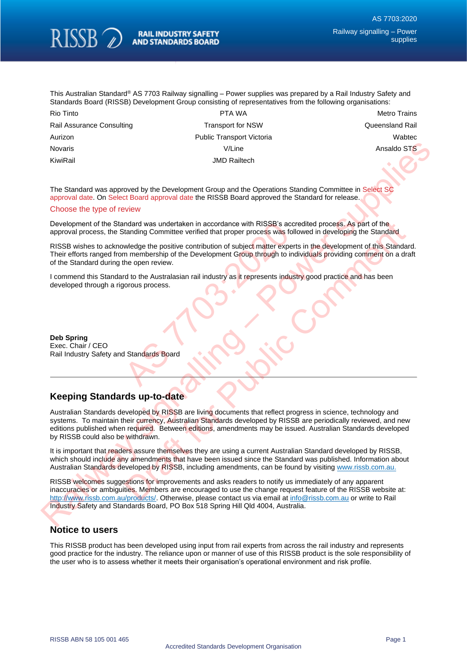

This Australian Standard® AS 7703 Railway signalling - Power supplies was prepared by a Rail Industry Safety and Standards Board (RISSB) Development Group consisting of representatives from the following organisations:

| Rio Tinto                 | PTA WA                           | <b>Metro Trains</b>    |
|---------------------------|----------------------------------|------------------------|
| Rail Assurance Consulting | <b>Transport for NSW</b>         | <b>Queensland Rail</b> |
| Aurizon                   | <b>Public Transport Victoria</b> | Wabtec                 |
| <b>Novaris</b>            | V/Line                           | Ansaldo STS            |
| KiwiRail                  | <b>JMD Railtech</b>              |                        |

The Standard was approved by the Development Group and the Operations Standing Committee in Select SC approval date. On Select Board approval date the RISSB Board approved the Standard for release.

#### Choose the type of review

Development of the Standard was undertaken in accordance with RISSB's accredited process. As part of the approval process, the Standing Committee verified that proper process was followed in developing the Standard

RISSB wishes to acknowledge the positive contribution of subject matter experts in the development of this Standard. Their efforts ranged from membership of the Development Group through to individuals providing comment on a draft of the Standard during the open review. Madard was undertaken in accordance with RISSB's accretanding Committee verified that proper process was foll<br>
wledge the positive contribution of subject matter expert<br>
m membership of the Development Group through to ind

I commend this Standard to the Australasian rail industry as it represents industry good practice and has been developed through a rigorous process.

**Deb Spring** Exec. Chair / CEO Rail Industry Safety and Standards Board

#### **Keeping Standards up-to-date**

Australian Standards developed by RISSB are living documents that reflect progress in science, technology and systems. To maintain their currency, Australian Standards developed by RISSB are periodically reviewed, and new editions published when required. Between editions, amendments may be issued. Australian Standards developed by RISSB could also be withdrawn. Novaria (VILIne Monata (WILIne Monata) STS<br>
Towards<br>
Towards (Secure 2019) by the Development distributed in Broad approved the Standard for release in Sales of<br>
upporting distributed in the Standard space of the RISS Boun mdard was undertaken in accordance with RISSES's accredited process. As pair of the<br>tanding Committee verified that proper process was followed in developing the Standard<br>twiedge the positive contribution of subject matter

It is important that readers assure themselves they are using a current Australian Standard developed by RISSB, which should include any amendments that have been issued since the Standard was published. Information about Australian Standards developed by RISSB, including amendments, can be found by visiting www.rissb.com.au.

RISSB welcomes suggestions for improvements and asks readers to notify us immediately of any apparent inaccuracies or ambiguities. Members are encouraged to use the change request feature of the RISSB website at: http://www.rissb.com.au/products/. Otherwise, please contact us via email at info@rissb.com.au or write to Rail Industry Safety and Standards Board, PO Box 518 Spring Hill Qld 4004, Australia.

#### **Notice to users**

This RISSB product has been developed using input from rail experts from across the rail industry and represents good practice for the industry. The reliance upon or manner of use of this RISSB product is the sole responsibility of the user who is to assess whether it meets their organisation's operational environment and risk profile.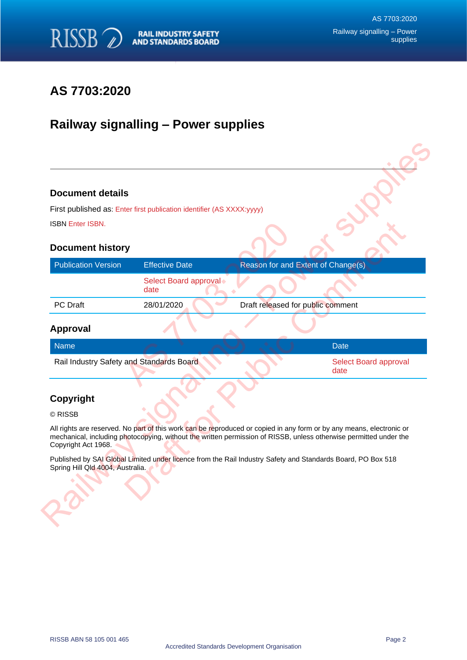

# **AS 7703:2020**

# **Railway signalling – Power supplies**

#### **Document details**

#### **Document history**

| <b>Document details</b>                  |                                                                                                                      |                                   |                                                                                                                   |
|------------------------------------------|----------------------------------------------------------------------------------------------------------------------|-----------------------------------|-------------------------------------------------------------------------------------------------------------------|
|                                          | First published as: Enter first publication identifier (AS XXXX:yyyy)                                                |                                   |                                                                                                                   |
| <b>ISBN Enter ISBN.</b>                  |                                                                                                                      |                                   |                                                                                                                   |
| <b>Document history</b>                  |                                                                                                                      |                                   |                                                                                                                   |
| <b>Publication Version</b>               | <b>Effective Date</b>                                                                                                |                                   | Reason for and Extent of Change(s)                                                                                |
|                                          | Select Board approval<br>date                                                                                        |                                   |                                                                                                                   |
| PC Draft                                 | 28/01/2020                                                                                                           | Draft released for public comment |                                                                                                                   |
| <b>Approval</b>                          |                                                                                                                      |                                   |                                                                                                                   |
| <b>Name</b>                              |                                                                                                                      |                                   | <b>Date</b>                                                                                                       |
| Rail Industry Safety and Standards Board |                                                                                                                      |                                   | Select Board approval<br>date                                                                                     |
| Copyright                                |                                                                                                                      |                                   |                                                                                                                   |
| © RISSB                                  |                                                                                                                      |                                   |                                                                                                                   |
|                                          |                                                                                                                      |                                   |                                                                                                                   |
| Copyright Act 1968.                      | All rights are reserved. No part of this work can be reproduced or copied in any form or by any means, electronic or |                                   | mechanical, including photocopying, without the written permission of RISSB, unless otherwise permitted under the |

#### **Approval**

| Rail Industry Safety and Standards Board |                       |
|------------------------------------------|-----------------------|
| date                                     | Select Board approval |

### **Copyright**

#### © RISSB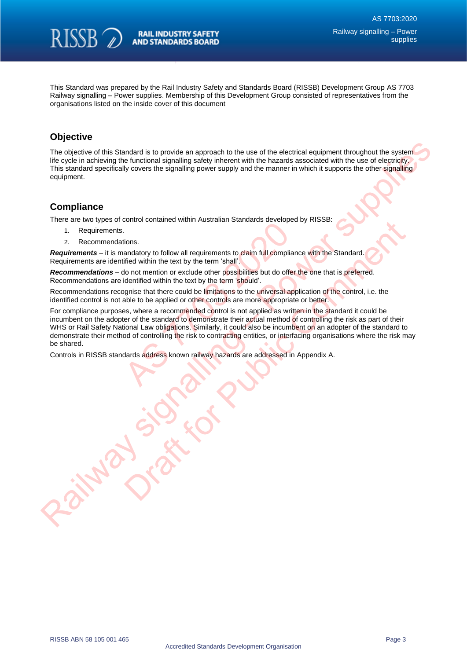

This Standard was prepared by the Rail Industry Safety and Standards Board (RISSB) Development Group AS 7703 Railway signalling – Power supplies. Membership of this Development Group consisted of representatives from the organisations listed on the inside cover of this document

## **Objective**

The objective of this Standard is to provide an approach to the use of the electrical equipment throughout the system life cycle in achieving the functional signalling safety inherent with the hazards associated with the use of electricity. This standard specifically covers the signalling power supply and the manner in which it supports the other signalling equipment.

#### **Compliance**

There are two types of control contained within Australian Standards developed by RISSB:

- 1. Requirements.
- 2. Recommendations.

*Requirements* – it is mandatory to follow all requirements to claim full compliance with the Standard. Requirements are identified within the text by the term 'shall'.

*Recommendations* – do not mention or exclude other possibilities but do offer the one that is preferred. Recommendations are identified within the text by the term 'should'.

Recommendations recognise that there could be limitations to the universal application of the control, i.e. the identified control is not able to be applied or other controls are more appropriate or better.

For compliance purposes, where a recommended control is not applied as written in the standard it could be incumbent on the adopter of the standard to demonstrate their actual method of controlling the risk as part of their WHS or Rail Safety National Law obligations. Similarly, it could also be incumbent on an adopter of the standard to demonstrate their method of controlling the risk to contracting entities, or interfacing organisations where the risk may be shared. France Wall requirements to claim full considerate and tions.<br>
And a requirements to claim full complian<br>
field within the text by the term 'shall'.<br>
Ab not mention or exclude other possibilities but do offer<br>
identified w The objective of this Standard is to provide an approach to the part of the additional the option of the standard energy and the manner in which it suppose the other products.<br>This standard smooth crosses the signalling po control contradied within must calibration and control control control control control of the control of the control of the control of the control of the control of the control of the control of the control of the control

Controls in RISSB standards address known railway hazards are addressed in Appendix A.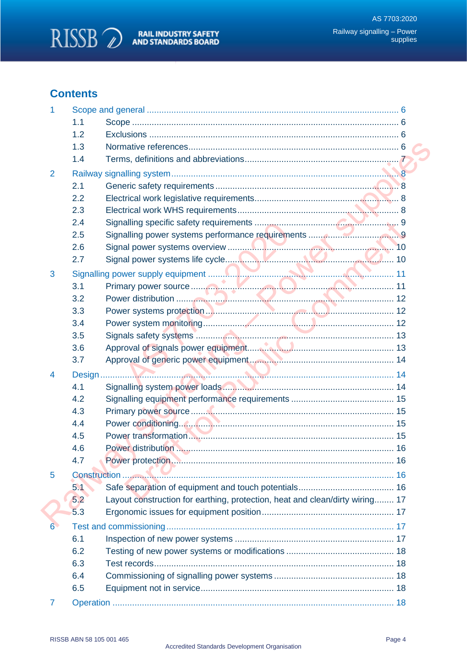

# **Contents**

| 1              |     |                                                                              |  |
|----------------|-----|------------------------------------------------------------------------------|--|
|                | 1.1 |                                                                              |  |
|                | 1.2 |                                                                              |  |
|                | 1.3 |                                                                              |  |
|                | 1.4 |                                                                              |  |
| $\overline{2}$ |     |                                                                              |  |
|                | 2.1 |                                                                              |  |
|                | 2.2 |                                                                              |  |
|                | 2.3 |                                                                              |  |
|                | 2.4 |                                                                              |  |
|                | 2.5 |                                                                              |  |
|                | 2.6 |                                                                              |  |
|                | 2.7 |                                                                              |  |
| 3              |     |                                                                              |  |
|                | 3.1 |                                                                              |  |
|                | 3.2 |                                                                              |  |
|                | 3.3 |                                                                              |  |
|                | 3.4 |                                                                              |  |
|                | 3.5 |                                                                              |  |
|                | 3.6 |                                                                              |  |
|                | 3.7 |                                                                              |  |
| 4              |     |                                                                              |  |
|                | 4.1 |                                                                              |  |
|                | 4.2 |                                                                              |  |
|                | 4.3 |                                                                              |  |
|                | 4.4 |                                                                              |  |
|                | 4.5 |                                                                              |  |
|                | 4.6 |                                                                              |  |
|                | 4.7 |                                                                              |  |
| 5              |     |                                                                              |  |
|                | 5.1 |                                                                              |  |
|                | 5.2 | Layout construction for earthing, protection, heat and clean/dirty wiring 17 |  |
|                | 5.3 |                                                                              |  |
| 6.             |     |                                                                              |  |
|                | 6.1 |                                                                              |  |
|                | 6.2 |                                                                              |  |
|                | 6.3 |                                                                              |  |
|                | 6.4 |                                                                              |  |
|                | 6.5 |                                                                              |  |
| 7              |     |                                                                              |  |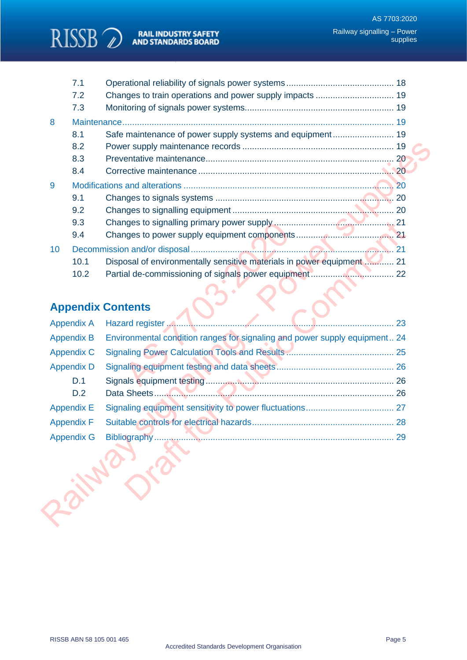RISSB 2 AND STANDARDS BOARD

|    | 7.1                      |                                                                            |    |
|----|--------------------------|----------------------------------------------------------------------------|----|
|    | 7.2                      |                                                                            |    |
|    | 7.3                      |                                                                            |    |
| 8  |                          |                                                                            |    |
|    | 8.1                      | Safe maintenance of power supply systems and equipment 19                  |    |
|    | 8.2                      |                                                                            |    |
|    | 8.3                      |                                                                            |    |
|    | 8.4                      |                                                                            |    |
| 9  |                          |                                                                            |    |
|    | 9.1                      |                                                                            |    |
|    | 9.2                      |                                                                            |    |
|    | 9.3                      |                                                                            |    |
|    | 9.4                      |                                                                            |    |
| 10 |                          |                                                                            |    |
|    | 10.1                     | Disposal of environmentally sensitive materials in power equipment  21     |    |
|    | 10.2                     |                                                                            |    |
|    |                          |                                                                            |    |
|    |                          |                                                                            |    |
|    |                          | <b>Appendix Contents</b>                                                   |    |
|    |                          |                                                                            |    |
|    | <b>Appendix A</b>        |                                                                            |    |
|    | <b>Appendix B</b>        | Environmental condition ranges for signaling and power supply equipment 24 |    |
|    | <b>Appendix C</b>        |                                                                            |    |
|    | <b>Appendix D</b><br>D.1 |                                                                            |    |
|    | D.2                      |                                                                            |    |
|    | <b>Appendix E</b>        |                                                                            |    |
|    | <b>Appendix F</b>        |                                                                            |    |
|    | <b>Appendix G</b>        | Bibliography                                                               | 29 |
|    |                          |                                                                            |    |
|    |                          |                                                                            |    |
|    |                          |                                                                            |    |
|    |                          |                                                                            |    |
|    |                          |                                                                            |    |

# **Appendix Contents**

|                 | 9.3               |                                                                            |  |
|-----------------|-------------------|----------------------------------------------------------------------------|--|
|                 | 9.4               |                                                                            |  |
| 10 <sup>°</sup> |                   |                                                                            |  |
|                 | 10.1              | Disposal of environmentally sensitive materials in power equipment 21      |  |
|                 | 10.2              |                                                                            |  |
|                 |                   |                                                                            |  |
|                 |                   | <b>Appendix Contents</b>                                                   |  |
|                 | <b>Appendix A</b> |                                                                            |  |
|                 | <b>Appendix B</b> | Environmental condition ranges for signaling and power supply equipment 24 |  |
|                 | <b>Appendix C</b> |                                                                            |  |
|                 | <b>Appendix D</b> |                                                                            |  |
|                 | D.1               |                                                                            |  |
|                 | D.2               |                                                                            |  |
|                 | <b>Appendix E</b> |                                                                            |  |
|                 | <b>Appendix F</b> |                                                                            |  |
|                 | <b>Appendix G</b> |                                                                            |  |
|                 |                   |                                                                            |  |
|                 |                   |                                                                            |  |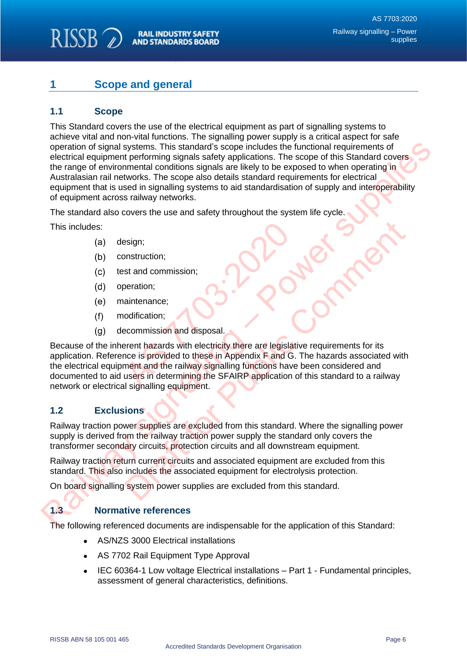#### RISSB<sub>2</sub> **RAIL INDUSTRY SAFETY AND STANDARDS BOARD**

# <span id="page-6-0"></span>**1 Scope and general**

## <span id="page-6-1"></span>**1.1 Scope**

This Standard covers the use of the electrical equipment as part of signalling systems to achieve vital and non-vital functions. The signalling power supply is a critical aspect for safe operation of signal systems. This standard's scope includes the functional requirements of electrical equipment performing signals safety applications. The scope of this Standard covers the range of environmental conditions signals are likely to be exposed to when operating in Australasian rail networks. The scope also details standard requirements for electrical equipment that is used in signalling systems to aid standardisation of supply and interoperability of equipment across railway networks. operation of signal systems. This standard's scope includes the functional requirements of substitutes the functional standard conditional requirements of this Siandard covers the range of environmental conditions signals

The standard also covers the use and safety throughout the system life cycle.

This includes:

- design;
- construction;
- test and commission;
- operation;
- maintenance;
- modification;
- decommission and disposal.

Because of the inherent hazards with electricity there are legislative requirements for its application. Reference is provided to these in Appendix F and G. The hazards associated with the electrical equipment and the railway signalling functions have been considered and documented to aid users in determining the SFAIRP application of this standard to a railway network or electrical signalling equipment. esign;<br>
st and commission;<br>
st and commission;<br>
peration;<br>
aintenance;<br>
aintenance;<br>
accommission and disposal.<br>
erent hazards with electricity there are legislati<br>
nce is provided to these in Appendix F and G.<br>
ment and t Examples are excluded from this standard.<br>
Seration:<br>
Seration;<br>
aintenance;<br>
adification;<br>
acommission and disposal.<br>
Exercition:<br>
acommission and disposal.<br>
Exercition: Fand G. The hazards associated with<br>
signalling equ

## <span id="page-6-2"></span>**1.2 Exclusions**

Railway traction power supplies are excluded from this standard. Where the signalling power supply is derived from the railway traction power supply the standard only covers the transformer secondary circuits, protection circuits and all downstream equipment.

Railway traction return current circuits and associated equipment are excluded from this standard. This also includes the associated equipment for electrolysis protection.

On board signalling system power supplies are excluded from this standard.

### <span id="page-6-3"></span>**1.3 Normative references**

The following referenced documents are indispensable for the application of this Standard:

- AS/NZS 3000 Electrical installations
- AS 7702 Rail Equipment Type Approval
- IEC 60364-1 Low voltage Electrical installations Part 1 Fundamental principles, assessment of general characteristics, definitions.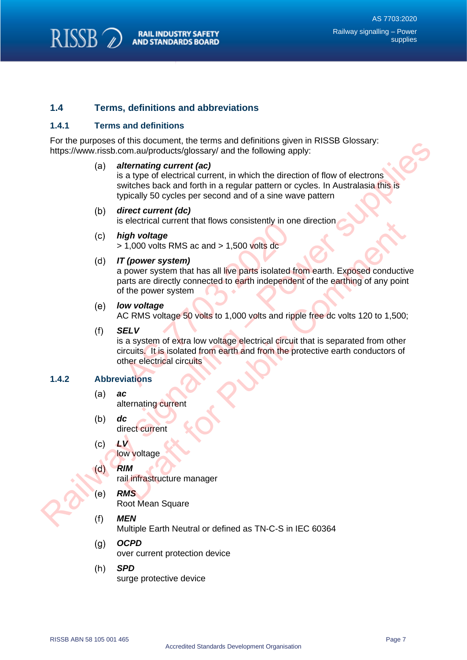

### <span id="page-7-0"></span>**1.4 Terms, definitions and abbreviations**

#### **1.4.1 Terms and definitions**

For the purposes of this document, the terms and definitions given in RISSB Glossary: https://www.rissb.com.au/products/glossary/ and the following apply:

#### *alternating current (ac)*

is a type of electrical current, in which the direction of flow of electrons switches back and forth in a regular pattern or cycles. In Australasia this is typically 50 cycles per second and of a sine wave pattern

#### *direct current (dc)*

is electrical current that flows consistently in one direction

*high voltage*

> 1,000 volts RMS ac and > 1,500 volts dc

#### *IT (power system)*

a power system that has all live parts isolated from earth. Exposed conductive parts are directly connected to earth independent of the earthing of any point of the power system igh voltage<br>
1,000 volts RMS ac and > 1,500 volts dc<br>
1,000 volts RMS ac and > 1,500 volts dc<br>
1,000 volts RMS ac and > 1,500 volts dc<br>
1,000 volts RMS ac and > 1,500 volts dc<br>
arts are directly connected to earth independ For the solution of the term of the entropy and the following angles in the stress of this state and forthin a regular pattern or cylcles. In Australian System and the stress and to the stress of the stress of the stress o electrical current that nows consistently in one direction<br>
1,000 volts RMS ac and > 1,500 volts dc<br>
(power system)<br>
frower system that has all live parts isolated from earth. Exposed conductit<br>
its are directly connected

#### *low voltage*

AC RMS voltage 50 volts to 1,000 volts and ripple free dc volts 120 to 1,500;

*SELV*

is a system of extra low voltage electrical circuit that is separated from other circuits. It is isolated from earth and from the protective earth conductors of other electrical circuits

#### **1.4.2 Abbreviations**

- *ac* alternating current
- *dc* direct current
- *LV*

low voltage

- *RIM*
	- rail infrastructure manager
	- *RMS*

Root Mean Square

*MEN*

Multiple Earth Neutral or defined as TN-C-S in IEC 60364

- $(a)$ *OCPD* over current protection device
- *SPD*  $(h)$ surge protective device

RISSB ABN 58 105 001 465 Page 7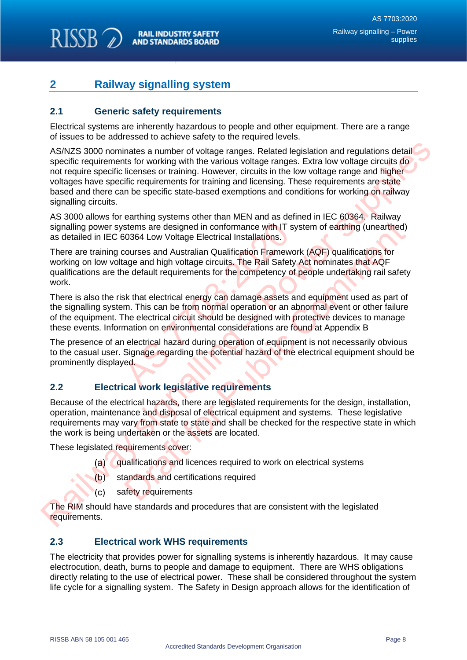#### **RISSB RAIL INDUSTRY SAFETY AND STANDARDS BOARD**

# <span id="page-8-0"></span>**2 Railway signalling system**

## <span id="page-8-1"></span>**2.1 Generic safety requirements**

Electrical systems are inherently hazardous to people and other equipment. There are a range of issues to be addressed to achieve safety to the required levels.

AS/NZS 3000 nominates a number of voltage ranges. Related legislation and regulations detail specific requirements for working with the various voltage ranges. Extra low voltage circuits do not require specific licenses or training. However, circuits in the low voltage range and higher voltages have specific requirements for training and licensing. These requirements are state based and there can be specific state-based exemptions and conditions for working on railway signalling circuits. AS/NZS 3000 nominates a number of voltage ranges. Related legislation and regulations detail<br>specific requirements for vorving with the various voltage ranges. Extra low voltage crousles of<br>contrading with the various cont

AS 3000 allows for earthing systems other than MEN and as defined in IEC 60364. Railway signalling power systems are designed in conformance with IT system of earthing (unearthed) as detailed in IEC 60364 Low Voltage Electrical Installations.

There are training courses and Australian Qualification Framework (AQF) qualifications for working on low voltage and high voltage circuits. The Rail Safety Act nominates that AQF qualifications are the default requirements for the competency of people undertaking rail safety work. stems are designed in conformance with IT sy<br>
S0364 Low Voltage Electrical Installations.<br>
Courses and Australian Qualification Frameword<br>
age and high voltage circuits. The Rail Safety<br>
ie default requirements for the com stems are designed in conformance with IT system of earthing (unearthed)<br>0364 Low Voltage Electrical Installations.<br>0364 Low Voltage Electrical Installations.<br>0364 Low Voltage Electrical Installations.<br>brousses and Austral

There is also the risk that electrical energy can damage assets and equipment used as part of the signalling system. This can be from normal operation or an abnormal event or other failure of the equipment. The electrical circuit should be designed with protective devices to manage these events. Information on environmental considerations are found at Appendix B

The presence of an electrical hazard during operation of equipment is not necessarily obvious to the casual user. Signage regarding the potential hazard of the electrical equipment should be prominently displayed.

## <span id="page-8-2"></span>**2.2 Electrical work legislative requirements**

Because of the electrical hazards, there are legislated requirements for the design, installation, operation, maintenance and disposal of electrical equipment and systems. These legislative requirements may vary from state to state and shall be checked for the respective state in which the work is being undertaken or the assets are located.

These legislated requirements cover:

- qualifications and licences required to work on electrical systems
- standards and certifications required
- safety requirements

The RIM should have standards and procedures that are consistent with the legislated requirements.

## <span id="page-8-3"></span>**2.3 Electrical work WHS requirements**

The electricity that provides power for signalling systems is inherently hazardous. It may cause electrocution, death, burns to people and damage to equipment. There are WHS obligations directly relating to the use of electrical power. These shall be considered throughout the system life cycle for a signalling system. The Safety in Design approach allows for the identification of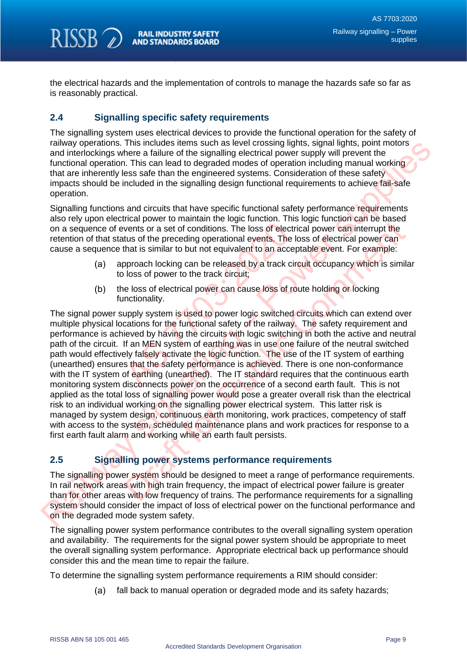the electrical hazards and the implementation of controls to manage the hazards safe so far as is reasonably practical.

## <span id="page-9-0"></span>**2.4 Signalling specific safety requirements**

RISSB<sub>O</sub>

The signalling system uses electrical devices to provide the functional operation for the safety of railway operations. This includes items such as level crossing lights, signal lights, point motors and interlockings where a failure of the signalling electrical power supply will prevent the functional operation. This can lead to degraded modes of operation including manual working that are inherently less safe than the engineered systems. Consideration of these safety impacts should be included in the signalling design functional requirements to achieve fail-safe operation.

Signalling functions and circuits that have specific functional safety performance requirements also rely upon electrical power to maintain the logic function. This logic function can be based on a sequence of events or a set of conditions. The loss of electrical power can interrupt the retention of that status of the preceding operational events. The loss of electrical power can cause a sequence that is similar to but not equivalent to an acceptable event. For example:

- approach locking can be released by a track circuit occupancy which is similar to loss of power to the track circuit;
- the loss of electrical power can cause loss of route holding or locking functionality.

The signal power supply system is used to power logic switched circuits which can extend over multiple physical locations for the functional safety of the railway. The safety requirement and performance is achieved by having the circuits with logic switching in both the active and neutral path of the circuit. If an MEN system of earthing was in use one failure of the neutral switched path would effectively falsely activate the logic function. The use of the IT system of earthing (unearthed) ensures that the safety performance is achieved. There is one non-conformance with the IT system of earthing (unearthed). The IT standard requires that the continuous earth monitoring system disconnects power on the occurrence of a second earth fault. This is not applied as the total loss of signalling power would pose a greater overall risk than the electrical risk to an individual working on the signalling power electrical system. This latter risk is managed by system design, continuous earth monitoring, work practices, competency of staff with access to the system, scheduled maintenance plans and work practices for response to a first earth fault alarm and working while an earth fault persists. wents or a set of conditions. The loss of electricitus of the preceding operational events. The list that is similar to but not equivalent to an accep<br>oproach locking can be released by a track circless of power to the tra rainway operations. This includes also is most be incosed to mean the including that point motions and interded my the mean that the signalling electrical power supply will prevent the function of persons are the observed men wore commant in experial man experiments. This by the measure of the preceding operations. The loss of electrical power can interrupt the tus of the preceding operational events. The loss of electrical power can interr

## <span id="page-9-1"></span>**2.5 Signalling power systems performance requirements**

The signalling power system should be designed to meet a range of performance requirements. In rail network areas with high train frequency, the impact of electrical power failure is greater than for other areas with low frequency of trains. The performance requirements for a signalling system should consider the impact of loss of electrical power on the functional performance and on the degraded mode system safety.

The signalling power system performance contributes to the overall signalling system operation and availability. The requirements for the signal power system should be appropriate to meet the overall signalling system performance. Appropriate electrical back up performance should consider this and the mean time to repair the failure.

To determine the signalling system performance requirements a RIM should consider:

fall back to manual operation or degraded mode and its safety hazards;  $(a)$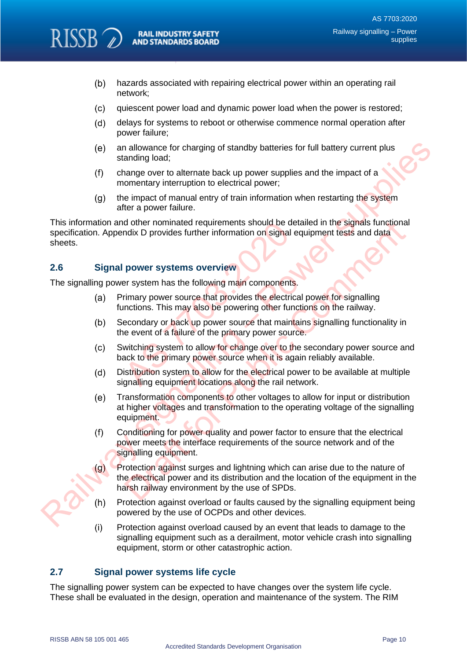- $(b)$ hazards associated with repairing electrical power within an operating rail network;
- $(c)$ quiescent power load and dynamic power load when the power is restored;
- $(d)$ delays for systems to reboot or otherwise commence normal operation after power failure;
- an allowance for charging of standby batteries for full battery current plus standing load;
- change over to alternate back up power supplies and the impact of a momentary interruption to electrical power;
- the impact of manual entry of train information when restarting the system after a power failure.

This information and other nominated requirements should be detailed in the signals functional specification. Appendix D provides further information on signal equipment tests and data sheets. d other nominated requirements should be de<br>
ndix D provides further information on signal e<br>
power systems overview<br>
ar system has the following main components<br>
rimary power source that provides the electric:<br>
inctions. (e) standing lost charging of standing basines for full battery current plus<br>
(f) change over to alternate back up power supplies and the impact of a<br>
(f) change over to alternate back up power supplies and the impact of a

## <span id="page-10-0"></span>**2.6 Signal power systems overview**

**RISSB** 

The signalling power system has the following main components.

- Primary power source that provides the electrical power for signalling functions. This may also be powering other functions on the railway.
- Secondary or back up power source that maintains signalling functionality in the event of a failure of the primary power source.
- Switching system to allow for change over to the secondary power source and back to the primary power source when it is again reliably available.
- Distribution system to allow for the electrical power to be available at multiple signalling equipment locations along the rail network.
- Transformation components to other voltages to allow for input or distribution at higher voltages and transformation to the operating voltage of the signalling equipment.
- Conditioning for power quality and power factor to ensure that the electrical power meets the interface requirements of the source network and of the signalling equipment.
- Protection against surges and lightning which can arise due to the nature of the electrical power and its distribution and the location of the equipment in the harsh railway environment by the use of SPDs. d other nominated requirements should be detailed in the signals functionary<br>or Dragonal equipment tests and data<br>power systems overview<br>power systems overview<br>provides further information on signal equipment tests and dat
- Protection against overload or faults caused by the signalling equipment being powered by the use of OCPDs and other devices.
- Protection against overload caused by an event that leads to damage to the signalling equipment such as a derailment, motor vehicle crash into signalling equipment, storm or other catastrophic action.

## <span id="page-10-1"></span>**2.7 Signal power systems life cycle**

The signalling power system can be expected to have changes over the system life cycle. These shall be evaluated in the design, operation and maintenance of the system. The RIM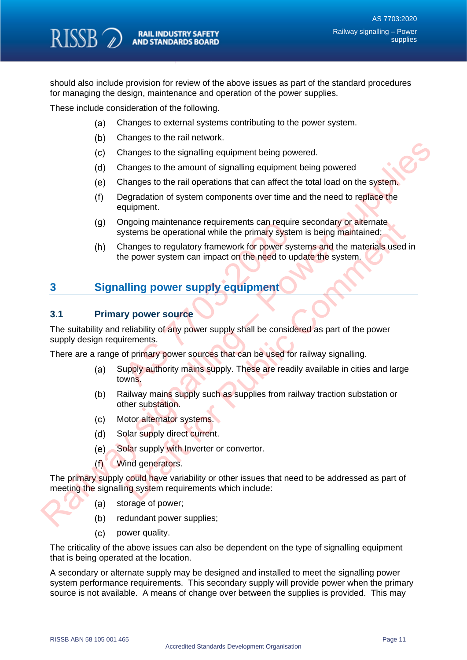should also include provision for review of the above issues as part of the standard procedures for managing the design, maintenance and operation of the power supplies.

These include consideration of the following.

- Changes to external systems contributing to the power system.  $(a)$
- Changes to the rail network.
- Changes to the signalling equipment being powered.
- Changes to the amount of signalling equipment being powered
- Changes to the rail operations that can affect the total load on the system.
- Degradation of system components over time and the need to replace the equipment.
- Ongoing maintenance requirements can require secondary or alternate systems be operational while the primary system is being maintained;
- Changes to regulatory framework for power systems and the materials used in the power system can impact on the need to update the system.

# <span id="page-11-0"></span>**3 Signalling power supply equipment**

#### <span id="page-11-1"></span>**3.1 Primary power source**

The suitability and reliability of any power supply shall be considered as part of the power supply design requirements. mannenance requirements can require<br>
ystems be operational while the primary system<br>
hanges to regulatory framework for power system<br>
e power system can impact on the need to up<br> **Illing power supply equipment**<br>
y power so (c) Changes to the signalling equipment being powered.<br>
(d) Changes to the amount of signalling equipment being powered<br>
(e) Changes to the rail operations that can differ the coltation do an offer the coltations of the co

There are a range of primary power sources that can be used for railway signalling.

- Supply authority mains supply. These are readily available in cities and large towns. mannie operational while the primary system is being maintenance requirements can require secondary or alternate:<br>stampes to regulatory framework for power systems and the materials used<br>e power system can impact on the ne
- Railway mains supply such as supplies from railway traction substation or other substation.
- Motor alternator systems.
- Solar supply direct current.
- Solar supply with Inverter or convertor.
- Wind generators.

The primary supply could have variability or other issues that need to be addressed as part of meeting the signalling system requirements which include:

- storage of power;
- redundant power supplies;
- $(c)$ power quality.

The criticality of the above issues can also be dependent on the type of signalling equipment that is being operated at the location.

A secondary or alternate supply may be designed and installed to meet the signalling power system performance requirements. This secondary supply will provide power when the primary source is not available. A means of change over between the supplies is provided. This may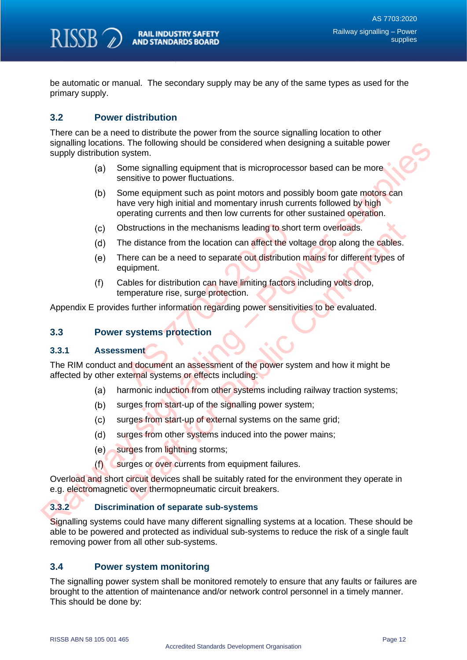

be automatic or manual. The secondary supply may be any of the same types as used for the primary supply.

## <span id="page-12-0"></span>**3.2 Power distribution**

There can be a need to distribute the power from the source signalling location to other signalling locations. The following should be considered when designing a suitable power supply distribution system.

- Some signalling equipment that is microprocessor based can be more sensitive to power fluctuations.
- Some equipment such as point motors and possibly boom gate motors can have very high initial and momentary inrush currents followed by high operating currents and then low currents for other sustained operation. supplies that following should be considered when designing a suitable power<br>supply distribution system.<br>(a) Some signalling equipment that is microprocessor based can be more<br>sensitive to power fluctuations.<br>(b) Some equi
	- Obstructions in the mechanisms leading to short term overloads.
	- The distance from the location can affect the voltage drop along the cables.
	- There can be a need to separate out distribution mains for different types of equipment. bstructions in the mechanisms leading to short term overloads.<br>
	The distance from the location can affect the voltage drop along the cables.<br>
	The comment of the serve and to separate out distribution mains for different ty
	- Cables for distribution can have limiting factors including volts drop, temperature rise, surge protection.

Appendix E provides further information regarding power sensitivities to be evaluated.

#### <span id="page-12-1"></span>**3.3 Power systems protection**

#### **3.3.1 Assessment**

The RIM conduct and document an assessment of the power system and how it might be affected by other external systems or effects including: bstructions in the mechanisms leading to short the distance from the location can affect the voltair distribution<br>puipment.<br>ables for distribution can have limiting factors<br>imperature rise, surge protection.<br>as further inf

- harmonic induction from other systems including railway traction systems;
- surges from start-up of the signalling power system;
- surges from start-up of external systems on the same grid;
- surges from other systems induced into the power mains:
- surges from lightning storms;
- surges or over currents from equipment failures.

Overload and short circuit devices shall be suitably rated for the environment they operate in e.g. electromagnetic over thermopneumatic circuit breakers.

#### **3.3.2 Discrimination of separate sub-systems**

Signalling systems could have many different signalling systems at a location. These should be able to be powered and protected as individual sub-systems to reduce the risk of a single fault removing power from all other sub-systems.

### <span id="page-12-2"></span>**3.4 Power system monitoring**

The signalling power system shall be monitored remotely to ensure that any faults or failures are brought to the attention of maintenance and/or network control personnel in a timely manner. This should be done by: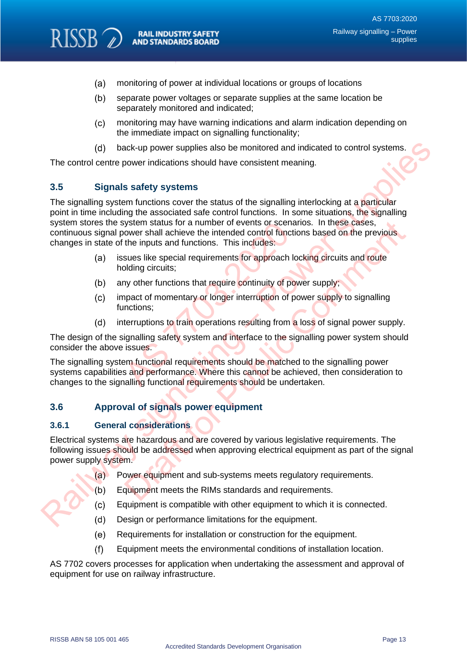- $(a)$ monitoring of power at individual locations or groups of locations
- $(b)$ separate power voltages or separate supplies at the same location be separately monitored and indicated;
- $(c)$ monitoring may have warning indications and alarm indication depending on the immediate impact on signalling functionality;
- back-up power supplies also be monitored and indicated to control systems.

The control centre power indications should have consistent meaning.

### <span id="page-13-0"></span>**3.5 Signals safety systems**

RISSB<sub>2</sub>

The signalling system functions cover the status of the signalling interlocking at a particular point in time including the associated safe control functions. In some situations, the signalling system stores the system status for a number of events or scenarios. In these cases, continuous signal power shall achieve the intended control functions based on the previous changes in state of the inputs and functions. This includes: (d) back-up power supplies also be monitored and indicated to control systems.<br>
The control epower indications should have consistent meaning.<br>
3.5 Signals safety systems<br>
The signalling system functions cover the status o

- issues like special requirements for approach locking circuits and route holding circuits;
- any other functions that require continuity of power supply;
- impact of momentary or longer interruption of power supply to signalling functions;
- interruptions to train operations resulting from a loss of signal power supply.

The design of the signalling safety system and interface to the signalling power system should consider the above issues.

The signalling system functional requirements should be matched to the signalling power systems capabilities and performance. Where this cannot be achieved, then consideration to changes to the signalling functional requirements should be undertaken. system status for a number of events or scenariower shall achieve the intended control function<br>the inputs and functions. This includes:<br>sues like special requirements for approach lo<br>olding circuits;<br>ny other functions th

### <span id="page-13-1"></span>**3.6 Approval of signals power equipment**

#### **3.6.1 General considerations**

Electrical systems are hazardous and are covered by various legislative requirements. The following issues should be addressed when approving electrical equipment as part of the signal power supply system. by the mattus for a number of events or scenarios. In these cases,<br>ower shall achieve the initended control functions based on the previous<br>the inputs and functions. This includes:<br>sues like special requirements for approa

- (a) Power equipment and sub-systems meets regulatory requirements.
- Equipment meets the RIMs standards and requirements.
- Equipment is compatible with other equipment to which it is connected.
- Design or performance limitations for the equipment.
- Requirements for installation or construction for the equipment.  $(e)$
- Equipment meets the environmental conditions of installation location.  $(f)$

AS 7702 covers processes for application when undertaking the assessment and approval of equipment for use on railway infrastructure.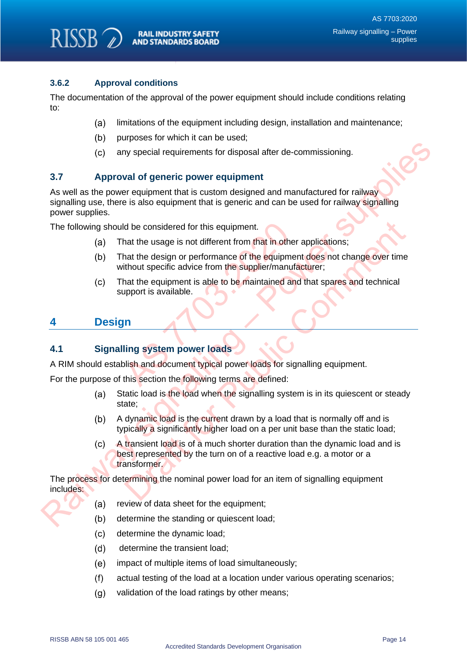## **3.6.2 Approval conditions**

RISSB<sub>2</sub>

The documentation of the approval of the power equipment should include conditions relating to:

- limitations of the equipment including design, installation and maintenance;  $(a)$
- purposes for which it can be used;
- any special requirements for disposal after de-commissioning.

### <span id="page-14-0"></span>**3.7 Approval of generic power equipment**

As well as the power equipment that is custom designed and manufactured for railway signalling use, there is also equipment that is generic and can be used for railway signalling power supplies. Colorer and the power loads<br>
Ray signalling use, there is also equipment that is custom designed and manufactured for rativial<br>
As well as the power supplies.<br>
Signalling use, there is also equipment that is generic and ca

The following should be considered for this equipment.

- That the usage is not different from that in other applications;
- That the design or performance of the equipment does not change over time without specific advice from the supplier/manufacturer; Id be considered for this equipment.<br>
hat the usage is not different from that in other<br>
hat the design or performance of the equipme<br>
ithout specific advice from the supplier/manufa<br>
hat the equipment is able to be mainta
- That the equipment is able to be maintained and that spares and technical support is available.

## <span id="page-14-1"></span>**4 Design**

### <span id="page-14-2"></span>**4.1 Signalling system power loads**

A RIM should establish and document typical power loads for signalling equipment.

For the purpose of this section the following terms are defined:

- Static load is the load when the signalling system is in its quiescent or steady state;
- A dynamic load is the current drawn by a load that is normally off and is typically a significantly higher load on a per unit base than the static load;
- A transient load is of a much shorter duration than the dynamic load and is best represented by the turn on of a reactive load e.g. a motor or a transformer. defined to this equipment.<br>
That the usage is not different from that in other applications;<br>
that the design or performance of the equipment does not change over time<br>
thout specific advice from the supplier/manufacturer;

The process for determining the nominal power load for an item of signalling equipment includes:

- review of data sheet for the equipment;
- determine the standing or quiescent load;
- $(c)$ determine the dynamic load;
- determine the transient load;  $(d)$
- $(e)$ impact of multiple items of load simultaneously;
- $(f)$ actual testing of the load at a location under various operating scenarios;
- $(q)$ validation of the load ratings by other means;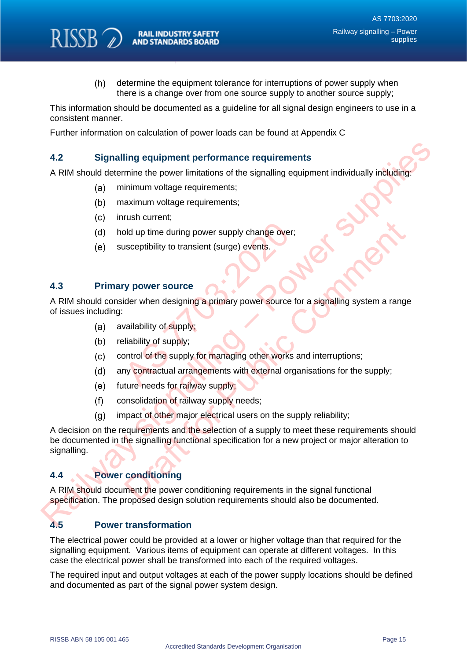$(h)$ determine the equipment tolerance for interruptions of power supply when there is a change over from one source supply to another source supply;

This information should be documented as a guideline for all signal design engineers to use in a consistent manner.

Further information on calculation of power loads can be found at Appendix C

#### **4.2 Signalling equipment performance requirements**

A RIM should determine the power limitations of the signalling equipment individually including:

- minimum voltage requirements;
- maximum voltage requirements;
- inrush current;

RISSB<sub>2</sub>

- hold up time during power supply change over;
- susceptibility to transient (surge) events.

#### <span id="page-15-1"></span>**4.3 Primary power source**

A RIM should consider when designing a primary power source for a signalling system a range of issues including: Did up time during power supply change over;<br>
usceptibility to transient (surge) events.<br>
The vent of supply;<br>
As all ability of supply;<br>
As all ability of supply;<br>
As all all arrangements with external orginal ture needs

- availability of supply;
- reliability of supply;
- control of the supply for managing other works and interruptions;
- any contractual arrangements with external organisations for the supply;
- future needs for railway supply;
- consolidation of railway supply needs;
- impact of other major electrical users on the supply reliability;

<span id="page-15-0"></span>A decision on the requirements and the selection of a supply to meet these requirements should be documented in the signalling functional specification for a new project or major alteration to signalling. 8.2 Signalling equipment performance requirements<br>
A RIM should determine the power limitations of the signalling equipment individually inducing<br>
(a) minimum voltage requirements;<br>
(b) maximum voltage requirements;<br>
(c) i Not up time during power supply change over;<br>
sceptibility to transient (surge) events.<br>
Y power source<br>
der when designing a primary power source for a signalling system a rang<br>
valiability of supply;<br>
liability of supply

## <span id="page-15-2"></span>**4.4 Power conditioning**

A RIM should document the power conditioning requirements in the signal functional specification. The proposed design solution requirements should also be documented.

### <span id="page-15-3"></span>**4.5 Power transformation**

The electrical power could be provided at a lower or higher voltage than that required for the signalling equipment. Various items of equipment can operate at different voltages. In this case the electrical power shall be transformed into each of the required voltages.

The required input and output voltages at each of the power supply locations should be defined and documented as part of the signal power system design.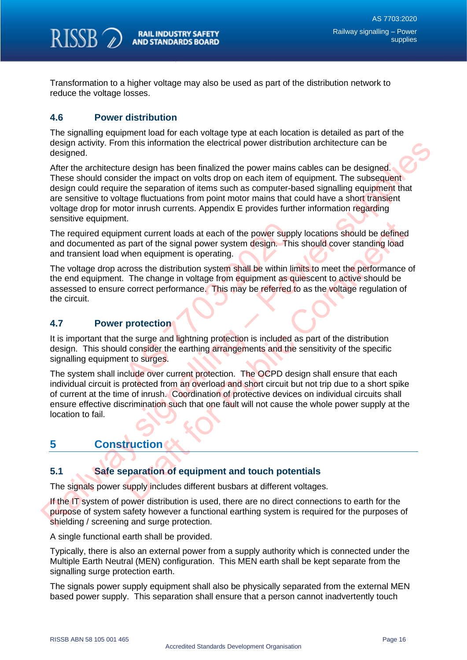

Transformation to a higher voltage may also be used as part of the distribution network to reduce the voltage losses.

## <span id="page-16-0"></span>**4.6 Power distribution**

The signalling equipment load for each voltage type at each location is detailed as part of the design activity. From this information the electrical power distribution architecture can be designed.

After the architecture design has been finalized the power mains cables can be designed. These should consider the impact on volts drop on each item of equipment. The subsequent design could require the separation of items such as computer-based signalling equipment that are sensitive to voltage fluctuations from point motor mains that could have a short transient voltage drop for motor inrush currents. Appendix E provides further information regarding sensitive equipment. designative. From this information the electrical power distribution architecture can be<br>designed.<br>Meric the architecture design has been finalized the power mains cables can be designed.<br>These should consider the impact o

The required equipment current loads at each of the power supply locations should be defined and documented as part of the signal power system design. This should cover standing load and transient load when equipment is operating.

The voltage drop across the distribution system shall be within limits to meet the performance of the end equipment. The change in voltage from equipment as quiescent to active should be assessed to ensure correct performance. This may be referred to as the voltage regulation of the circuit. ment current loads at each of the power supplies part of the signal power system design. This<br>when equipment is operating.<br>cross the distribution system shall be within line.<br>The change in voltage from equipment as quare e

## <span id="page-16-1"></span>**4.7 Power protection**

It is important that the surge and lightning protection is included as part of the distribution design. This should consider the earthing arrangements and the sensitivity of the specific signalling equipment to surges.

The system shall include over current protection. The OCPD design shall ensure that each individual circuit is protected from an overload and short circuit but not trip due to a short spike of current at the time of inrush. Coordination of protective devices on individual circuits shall ensure effective discrimination such that one fault will not cause the whole power supply at the location to fail. Comment current loads at each of the power supply locations should be defined<br>then equipment is operating.<br>First for the signal power system design. This should cover standing load<br>or equipment is operating.<br>The change in

# <span id="page-16-2"></span>**5 Construction**

## <span id="page-16-3"></span>**5.1 Safe separation of equipment and touch potentials**

The signals power supply includes different busbars at different voltages.

If the IT system of power distribution is used, there are no direct connections to earth for the purpose of system safety however a functional earthing system is required for the purposes of shielding / screening and surge protection.

A single functional earth shall be provided.

Typically, there is also an external power from a supply authority which is connected under the Multiple Earth Neutral (MEN) configuration. This MEN earth shall be kept separate from the signalling surge protection earth.

The signals power supply equipment shall also be physically separated from the external MEN based power supply. This separation shall ensure that a person cannot inadvertently touch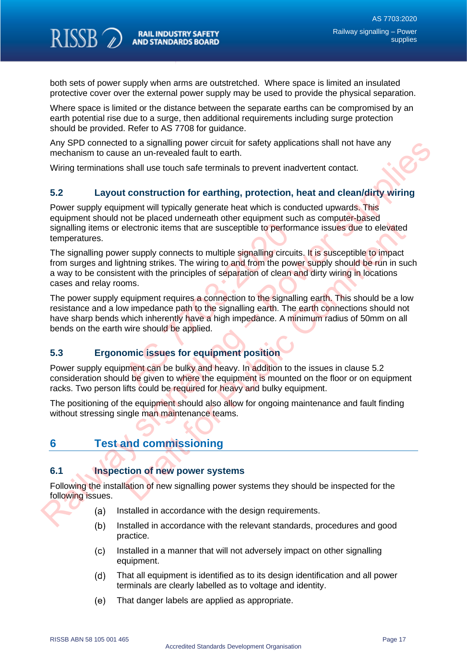RISSB<sub>2</sub>

both sets of power supply when arms are outstretched. Where space is limited an insulated protective cover over the external power supply may be used to provide the physical separation.

Where space is limited or the distance between the separate earths can be compromised by an earth potential rise due to a surge, then additional requirements including surge protection should be provided. Refer to AS 7708 for guidance.

Any SPD connected to a signalling power circuit for safety applications shall not have any mechanism to cause an un-revealed fault to earth.

Wiring terminations shall use touch safe terminals to prevent inadvertent contact.

## <span id="page-17-0"></span>**5.2 Layout construction for earthing, protection, heat and clean/dirty wiring**

Power supply equipment will typically generate heat which is conducted upwards. This equipment should not be placed underneath other equipment such as computer-based signalling items or electronic items that are susceptible to performance issues due to elevated temperatures.

The signalling power supply connects to multiple signalling circuits. It is susceptible to impact from surges and lightning strikes. The wiring to and from the power supply should be run in such a way to be consistent with the principles of separation of clean and dirty wiring in locations cases and relay rooms. electronic items that are susceptible to perform<br>
electronic items that are susceptible to perform<br>
er supply connects to multiple signalling circuit<br>
htning strikes. The wiring to and from the pow<br>
ent with the principles Any SPU connected to a signalling power crictuit or safety applications shall not have any<br>
Wring terminations shall use touch safe terminals to prevent inadvertent contact.<br>
S.2 Layout construction for earthing, protectio From the method and the signalling circuits. It is susceptible to elevate<br>electronic items that are susceptible to performance issues due to elevated<br>are any py connects to multiple signalling circuits. It is susceptible t

The power supply equipment requires a connection to the signalling earth. This should be a low resistance and a low impedance path to the signalling earth. The earth connections should not have sharp bends which inherently have a high impedance. A minimum radius of 50mm on all bends on the earth wire should be applied.

## <span id="page-17-1"></span>**5.3 Ergonomic issues for equipment position**

Power supply equipment can be bulky and heavy. In addition to the issues in clause 5.2 consideration should be given to where the equipment is mounted on the floor or on equipment racks. Two person lifts could be required for heavy and bulky equipment.

The positioning of the equipment should also allow for ongoing maintenance and fault finding without stressing single man maintenance teams.

# <span id="page-17-2"></span>**6 Test and commissioning**

## <span id="page-17-3"></span>**6.1 Inspection of new power systems**

Following the installation of new signalling power systems they should be inspected for the following issues.

- Installed in accordance with the design requirements.
- Installed in accordance with the relevant standards, procedures and good practice.
- $(c)$ Installed in a manner that will not adversely impact on other signalling equipment.
- $(d)$ That all equipment is identified as to its design identification and all power terminals are clearly labelled as to voltage and identity.
- $(e)$ That danger labels are applied as appropriate.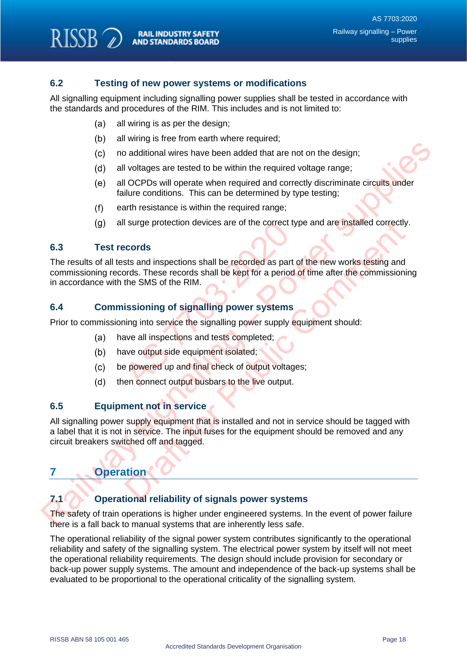## <span id="page-18-0"></span>**6.2 Testing of new power systems or modifications**

All signalling equipment including signalling power supplies shall be tested in accordance with the standards and procedures of the RIM. This includes and is not limited to:

- $(a)$ all wiring is as per the design;
- all wiring is free from earth where required;
- no additional wires have been added that are not on the design;
- all voltages are tested to be within the required voltage range;
- all OCPDs will operate when required and correctly discriminate circuits under failure conditions. This can be determined by type testing;
- earth resistance is within the required range;
- all surge protection devices are of the correct type and are installed correctly.

#### <span id="page-18-1"></span>**6.3 Test records**

RISSB<sub>2</sub>

The results of all tests and inspections shall be recorded as part of the new works testing and commissioning records. These records shall be kept for a period of time after the commissioning in accordance with the SMS of the RIM. I surge protection devices are of the correct ty<br> **Example 3** sts and inspections shall be recorded as part ords. These records shall be kept for a period<br>
the SMS of the RIM.<br> **Issioning of signalling power systems**<br>
hing (c) and width was have been added that are not on the design;<br>
(c) and width was have been added that are not on the design;<br>
(d) all voltages are tested to be within the required voltage range;<br>
(e) all or CPDs will opera

#### <span id="page-18-2"></span>**6.4 Commissioning of signalling power systems**

Prior to commissioning into service the signalling power supply equipment should:

- have all inspections and tests completed;
- have output side equipment isolated;
- be powered up and final check of output voltages:
- then connect output busbars to the live output.

#### <span id="page-18-3"></span>**6.5 Equipment not in service**

All signalling power supply equipment that is installed and not in service should be tagged with a label that it is not in service. The input fuses for the equipment should be removed and any circuit breakers switched off and tagged. I surge protection devices are of the correct type and are installed correctly<br>
scords<br>
sts and inspections shall be recorded as part of the new works testing and<br>
ords. These records shall be kept for a period of time aft

# <span id="page-18-4"></span>**7 Operation**

## <span id="page-18-5"></span>**7.1 Operational reliability of signals power systems**

The safety of train operations is higher under engineered systems. In the event of power failure there is a fall back to manual systems that are inherently less safe.

The operational reliability of the signal power system contributes significantly to the operational reliability and safety of the signalling system. The electrical power system by itself will not meet the operational reliability requirements. The design should include provision for secondary or back-up power supply systems. The amount and independence of the back-up systems shall be evaluated to be proportional to the operational criticality of the signalling system.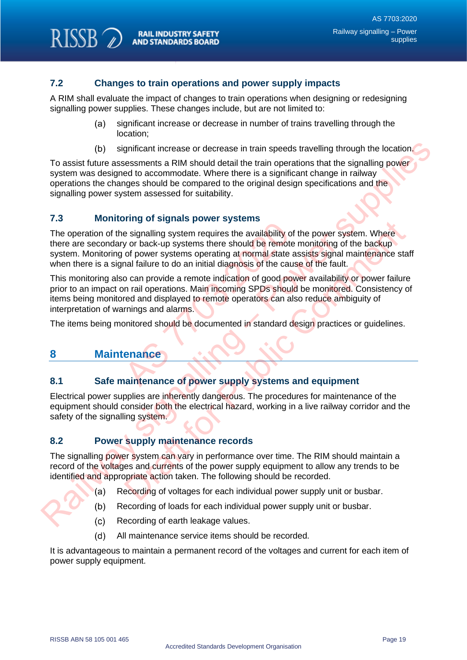## <span id="page-19-0"></span>**7.2 Changes to train operations and power supply impacts**

A RIM shall evaluate the impact of changes to train operations when designing or redesigning signalling power supplies. These changes include, but are not limited to:

- $(a)$ significant increase or decrease in number of trains travelling through the location;
- significant increase or decrease in train speeds travelling through the location.

To assist future assessments a RIM should detail the train operations that the signalling power system was designed to accommodate. Where there is a significant change in railway operations the changes should be compared to the original design specifications and the signalling power system assessed for suitability.

### <span id="page-19-1"></span>**7.3 Monitoring of signals power systems**

The operation of the signalling system requires the availability of the power system. Where there are secondary or back-up systems there should be remote monitoring of the backup system. Monitoring of power systems operating at normal state assists signal maintenance staff when there is a signal failure to do an initial diagnosis of the cause of the fault. Final System requires the availability of<br>e signalling system requires the availability of<br>y or back-up systems there should be remote<br>of power systems operating at normal state a<br>nal failure to do an initial diagnosis of (b) significant increase or decrease in train speeds travelling through the location system was designed to accommodate. Where there is a significant change in raliting power<br>system was designed to accommodate. Where ther The signality of the power system and the power system. Where signality of the power system. Where signality of the power system for or back-up systems there should be remote monitoring of the backup of power systems opera

This monitoring also can provide a remote indication of good power availability or power failure prior to an impact on rail operations. Main incoming SPDs should be monitored. Consistency of items being monitored and displayed to remote operators can also reduce ambiguity of interpretation of warnings and alarms.

<span id="page-19-2"></span>The items being monitored should be documented in standard design practices or guidelines.

## **8 Maintenance**

**RISSB** 

### <span id="page-19-3"></span>**8.1 Safe maintenance of power supply systems and equipment**

Electrical power supplies are inherently dangerous. The procedures for maintenance of the equipment should consider both the electrical hazard, working in a live railway corridor and the safety of the signalling system.

### <span id="page-19-4"></span>**8.2 Power supply maintenance records**

The signalling power system can vary in performance over time. The RIM should maintain a record of the voltages and currents of the power supply equipment to allow any trends to be identified and appropriate action taken. The following should be recorded.

- Recording of voltages for each individual power supply unit or busbar.
- Recording of loads for each individual power supply unit or busbar.
- Recording of earth leakage values.
- $(d)$ All maintenance service items should be recorded.

It is advantageous to maintain a permanent record of the voltages and current for each item of power supply equipment.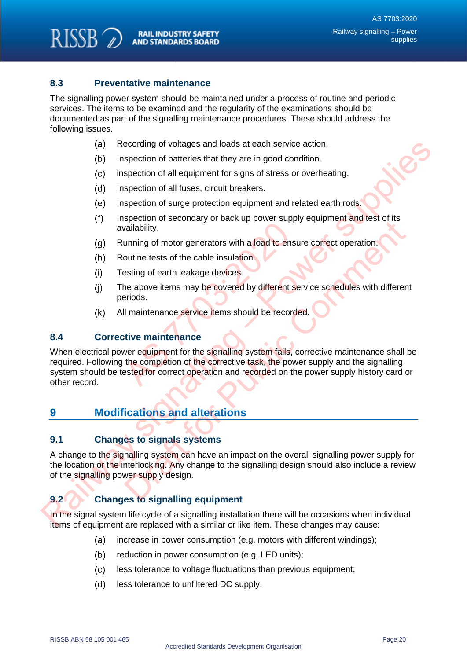### <span id="page-20-0"></span>**8.3 Preventative maintenance**

RISSB<sub>2</sub>

The signalling power system should be maintained under a process of routine and periodic services. The items to be examined and the regularity of the examinations should be documented as part of the signalling maintenance procedures. These should address the following issues.

- Recording of voltages and loads at each service action.
- Inspection of batteries that they are in good condition.
- inspection of all equipment for signs of stress or overheating.
- Inspection of all fuses, circuit breakers.
- Inspection of surge protection equipment and related earth rods.
- Inspection of secondary or back up power supply equipment and test of its availability.
- Running of motor generators with a load to ensure correct operation.
- Routine tests of the cable insulation.
- Testing of earth leakage devices.
- The above items may be covered by different service schedules with different periods.
- All maintenance service items should be recorded.

#### <span id="page-20-1"></span>**8.4 Corrective maintenance**

When electrical power equipment for the signalling system fails, corrective maintenance shall be required. Following the completion of the corrective task, the power supply and the signalling system should be tested for correct operation and recorded on the power supply history card or other record. Final School of the cable insulation.<br>
The final School of the cable insulation.<br>
The above items may be covered by different seriods.<br>
Il maintenance service items should be record<br>
tive maintenance<br>
Were equipment for th (a) Recording of voltages and loads at each service ection.<br>
(b) Inspection of all etaily are in good condition.<br>
(c) inspection of all etaily are in good condition.<br>
(c) inspection of all etaily are in good condition.<br>
(e spectrations of the called insulated to the signality.<br>
Spectration is a load to ensure correct operation.<br>
Specified for the cable insulation.<br>
Spectrations of earth leakage devices.<br>
The above items may be covered by dif

## <span id="page-20-2"></span>**9 Modifications and alterations**

### <span id="page-20-3"></span>**9.1 Changes to signals systems**

A change to the signalling system can have an impact on the overall signalling power supply for the location or the interlocking. Any change to the signalling design should also include a review of the signalling power supply design.

## <span id="page-20-4"></span>**9.2 Changes to signalling equipment**

In the signal system life cycle of a signalling installation there will be occasions when individual items of equipment are replaced with a similar or like item. These changes may cause:

- increase in power consumption (e.g. motors with different windings);  $(a)$
- $(b)$ reduction in power consumption (e.g. LED units);
- $(c)$ less tolerance to voltage fluctuations than previous equipment;
- $(d)$ less tolerance to unfiltered DC supply.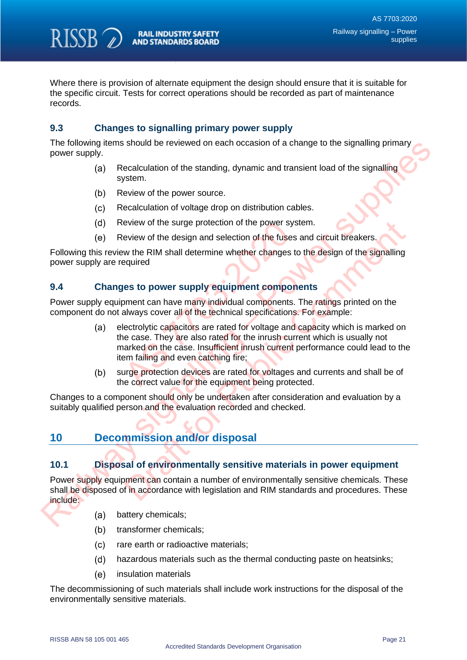

Where there is provision of alternate equipment the design should ensure that it is suitable for the specific circuit. Tests for correct operations should be recorded as part of maintenance records.

## <span id="page-21-0"></span>**9.3 Changes to signalling primary power supply**

The following items should be reviewed on each occasion of a change to the signalling primary power supply.

- Recalculation of the standing, dynamic and transient load of the signalling system.
- Review of the power source.
- Recalculation of voltage drop on distribution cables.
- Review of the surge protection of the power system.
- Review of the design and selection of the fuses and circuit breakers.

Following this review the RIM shall determine whether changes to the design of the signalling power supply are required

#### <span id="page-21-1"></span>**9.4 Changes to power supply equipment components**

Power supply equipment can have many individual components. The ratings printed on the component do not always cover all of the technical specifications. For example:

- electrolytic capacitors are rated for voltage and capacity which is marked on the case. They are also rated for the inrush current which is usually not marked on the case. Insufficient inrush current performance could lead to the item failing and even catching fire; eview of the surge protection of the power systeview of the design and selection of the fuses<br>w the RIM shall determine whether changes to<br>equired<br>les to power supply equipment compon<br>poment can have many individual compon The following terms should be rewiewed on each occasion of a change to the signalling primary<br>
(a) Receive of the standing, dynamic and transient load of the signalling<br>
system.<br>
(b) Review of the power surve.<br>
(c) Review eview of the surge protection of the power system.<br>
Eview of the design and selection of the fuses and circuit breakers.<br>
We the RIM shall determine whether changes to the design of the signalling<br>
equired<br>
Es to power sup
	- surge protection devices are rated for voltages and currents and shall be of the correct value for the equipment being protected.

Changes to a component should only be undertaken after consideration and evaluation by a suitably qualified person and the evaluation recorded and checked.

# <span id="page-21-2"></span>**10 Decommission and/or disposal**

### <span id="page-21-3"></span>**10.1 Disposal of environmentally sensitive materials in power equipment**

Power supply equipment can contain a number of environmentally sensitive chemicals. These shall be disposed of in accordance with legislation and RIM standards and procedures. These include:

- battery chemicals;
- transformer chemicals;
- $(c)$ rare earth or radioactive materials;
- $(d)$ hazardous materials such as the thermal conducting paste on heatsinks;
- $(e)$ insulation materials

The decommissioning of such materials shall include work instructions for the disposal of the environmentally sensitive materials.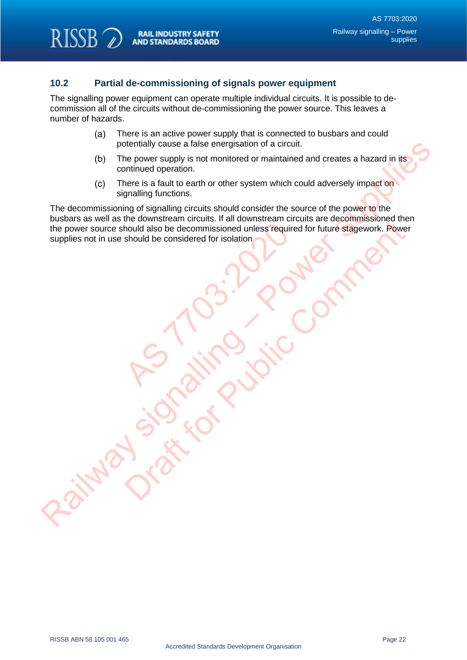RISSB<sub>2</sub>

## <span id="page-22-0"></span>**10.2 Partial de-commissioning of signals power equipment**

The signalling power equipment can operate multiple individual circuits. It is possible to decommission all of the circuits without de-commissioning the power source. This leaves a number of hazards.

- There is an active power supply that is connected to busbars and could  $(a)$ potentially cause a false energisation of a circuit.
- The power supply is not monitored or maintained and creates a hazard in its continued operation.
- There is a fault to earth or other system which could adversely impact on signalling functions.

The decommissioning of signalling circuits should consider the source of the power to the busbars as well as the downstream circuits. If all downstream circuits are decommissioned then the power source should also be decommissioned unless required for future stagework. Power supplies not in use should be considered for isolation AS THE MEDIA SIDE OF SCRIPTING OF SCRIPTING OF SCRIPTING OF SCRIPTING OF SCRIPTING OF SCRIPTING OF SCRIPTING OF SCRIPTING OF SCRIPTING OF SCRIPTING OF SCRIPTING OF SCRIPTING OF SCRIPTING OF SCRIPTING OF SCRIPTING OF SCRIPT potentially cause a false energies in of a cricuit.<br>
(b) The power supply is not monitoed or maintained and creates a hazard in its<br>
continued operation.<br>
(c) There is a fault to cart or other system which could adversely Draft for Public Comment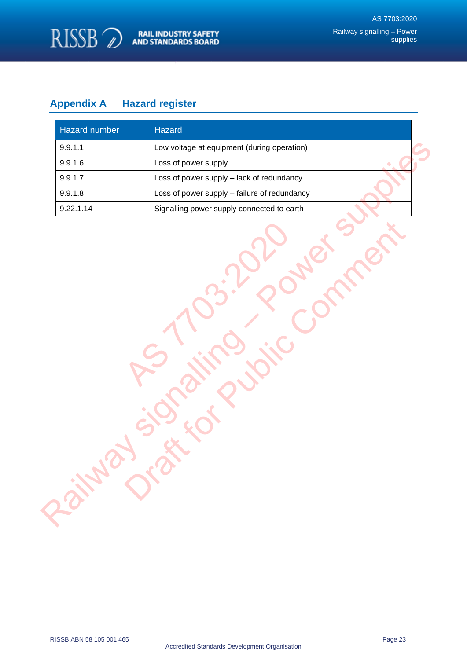

# <span id="page-23-0"></span>**Appendix A Hazard register**

| Hazard number | Hazard                                       |
|---------------|----------------------------------------------|
| 9.9.1.1       | Low voltage at equipment (during operation)  |
| 9.9.1.6       | Loss of power supply                         |
| 9.9.1.7       | Loss of power supply - lack of redundancy    |
| 9.9.1.8       | Loss of power supply - failure of redundancy |
| 9.22.1.14     | Signalling power supply connected to earth   |
|               |                                              |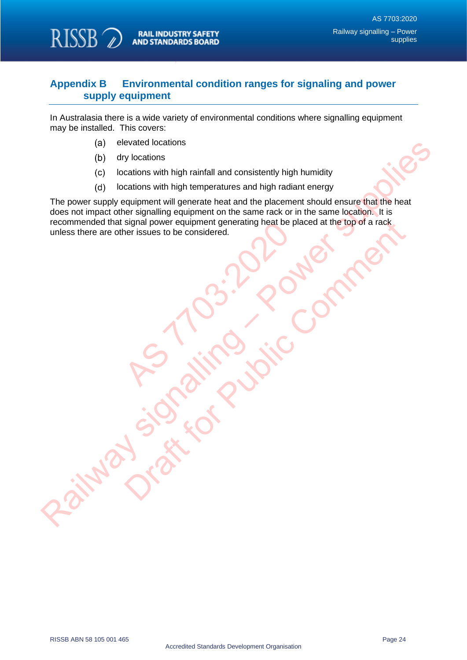

## <span id="page-24-0"></span>**Appendix B Environmental condition ranges for signaling and power supply equipment**

In Australasia there is a wide variety of environmental conditions where signalling equipment may be installed. This covers:

- elevated locations
- dry locations
- locations with high rainfall and consistently high humidity
- locations with high temperatures and high radiant energy

The power supply equipment will generate heat and the placement should ensure that the heat does not impact other signalling equipment on the same rack or in the same location. It is recommended that signal power equipment generating heat be placed at the top of a rack unless there are other issues to be considered. Explain power equipment generating heat be p<br>ner issues to be considered. (a) eleveral to calcions<br>
(b) dry locations<br>
(c) locations with high rainfall and consistently high humidity<br>
(c) locations with high rainfall and consistently high humidity<br>
The power supply equipment will generate heat a Signal power equipment generating heat be placed at the top of a rack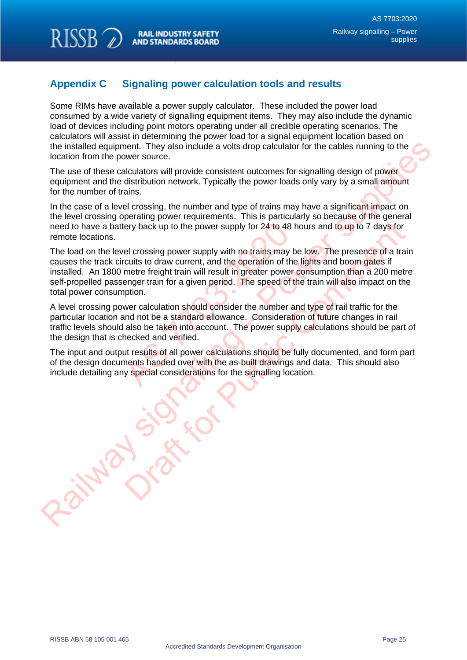RISSB<sub>2</sub>

# <span id="page-25-0"></span>**Appendix C Signaling power calculation tools and results**

Some RIMs have available a power supply calculator. These included the power load consumed by a wide variety of signalling equipment items. They may also include the dynamic load of devices including point motors operating under all credible operating scenarios. The calculators will assist in determining the power load for a signal equipment location based on the installed equipment. They also include a volts drop calculator for the cables running to the location from the power source.

The use of these calculators will provide consistent outcomes for signalling design of power equipment and the distribution network. Typically the power loads only vary by a small amount for the number of trains.

In the case of a level crossing, the number and type of trains may have a significant impact on the level crossing operating power requirements. This is particularly so because of the general need to have a battery back up to the power supply for 24 to 48 hours and to up to 7 days for remote locations.

The load on the level crossing power supply with no trains may be low. The presence of a train causes the track circuits to draw current, and the operation of the lights and boom gates if installed. An 1800 metre freight train will result in greater power consumption than a 200 metre self-propelled passenger train for a given period. The speed of the train will also impact on the total power consumption. The start of the power supply for 24 to 48 heliens and the power supply with no trains may be routits to draw current, and the operation of the metre freight train will result in greater power enger train for a given perio the installed equivalent They also include a volts drop calculator for the cables running to the location from the power source.<br>The use of these calculators will provide consistent outcomes for signalling design of power ery back up to the power supply for 24 to 48 hours and to up to 7 days for<br>el crossing power supply with no trains may be low. The presence of a tractits to draw current, and the operation of the lights and boom gates if<br>m

A level crossing power calculation should consider the number and type of rail traffic for the particular location and not be a standard allowance. Consideration of future changes in rail traffic levels should also be taken into account. The power supply calculations should be part of the design that is checked and verified.

The input and output results of all power calculations should be fully documented, and form part of the design documents handed over with the as-built drawings and data. This should also include detailing any special considerations for the signalling location.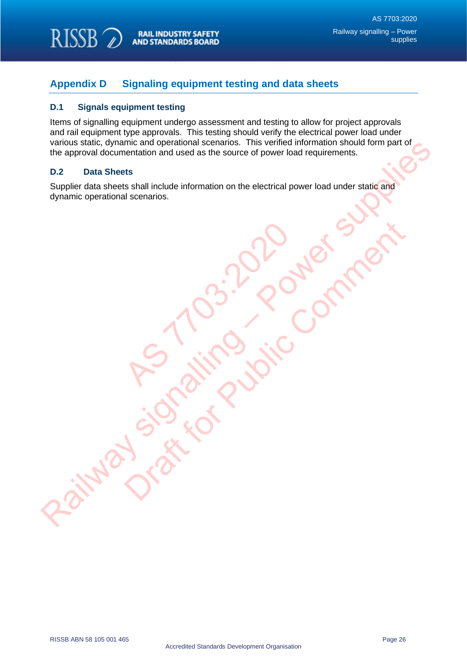

## <span id="page-26-0"></span>**Appendix D Signaling equipment testing and data sheets**

#### <span id="page-26-1"></span>**D.1 Signals equipment testing**

Items of signalling equipment undergo assessment and testing to allow for project approvals and rail equipment type approvals. This testing should verify the electrical power load under various static, dynamic and operational scenarios. This verified information should form part of the approval documentation and used as the source of power load requirements.

#### <span id="page-26-2"></span>**D.2 Data Sheets**

Supplier data sheets shall include information on the electrical power load under static and dynamic operational scenarios. Warous signally enter and persional scenarios. This were contained information and used as the source of power load tragularments.<br>
Supplier data sheets<br>
Supplier data sheets shall include information on the electrical pow

RS 1103:2020

Orange From Public Comment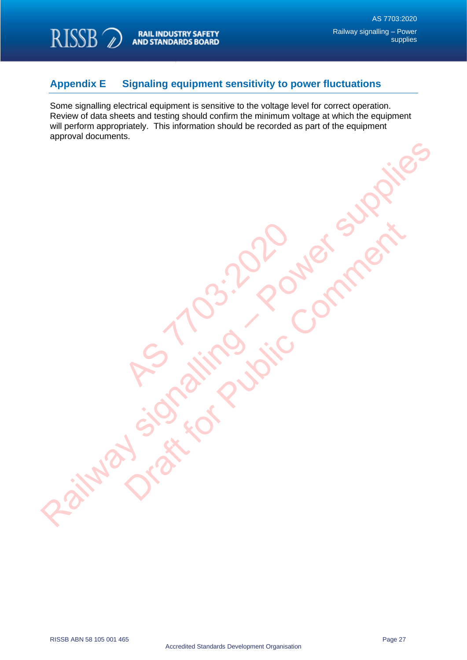

RISSB<sub>2</sub>

# <span id="page-27-0"></span>**Appendix E Signaling equipment sensitivity to power fluctuations**

RS 1103:2020

Railway signaling violent supplies

Orange From Public Comment

Some signalling electrical equipment is sensitive to the voltage level for correct operation. Review of data sheets and testing should confirm the minimum voltage at which the equipment will perform appropriately. This information should be recorded as part of the equipment approval documents.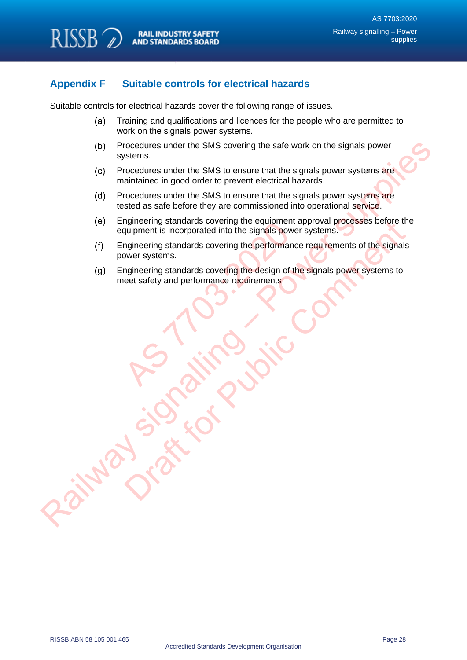

## <span id="page-28-0"></span>**Appendix F Suitable controls for electrical hazards**

Suitable controls for electrical hazards cover the following range of issues.

- $(a)$ Training and qualifications and licences for the people who are permitted to work on the signals power systems.
- Procedures under the SMS covering the safe work on the signals power systems.
- Procedures under the SMS to ensure that the signals power systems are maintained in good order to prevent electrical hazards.
- Procedures under the SMS to ensure that the signals power systems are tested as safe before they are commissioned into operational service.
- Engineering standards covering the equipment approval processes before the equipment is incorporated into the signals power systems. (b) Procedures under the SMS covering the safe work on the signals power<br>systems.<br>(c) Procedures under the SMS to ensure that the signals bower systems are<br>(d) Procedures under the SMS to ensure that the signals power syst
	- Engineering standards covering the performance requirements of the signals power systems. Ingineering standards covering the equipment<br>quipment is incorporated into the signals power<br>ngineering standards covering the performanc<br>ower systems.<br>ngineering standards covering the design of the<br>eet safety and perform my the equipment is incorporated into the signals power systems.<br>
	Huipment is incorporated into the signals power systems.<br>
	Indirecting standards covering the performance requirements of the signals<br>
	were systems.<br>
	eet saf
	- Engineering standards covering the design of the signals power systems to meet safety and performance requirements.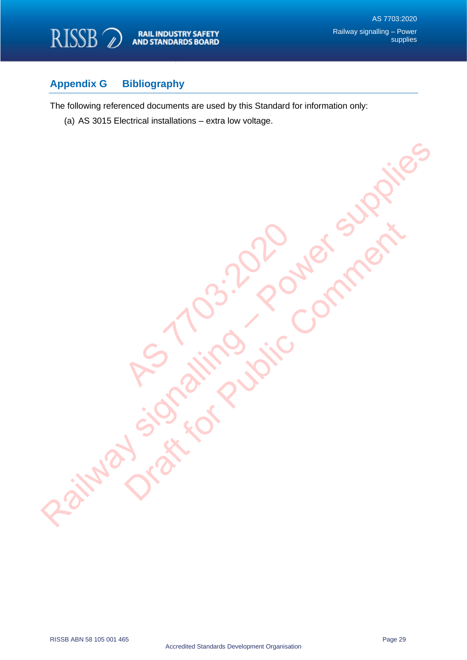

## <span id="page-29-0"></span>**Appendix G Bibliography**

The following referenced documents are used by this Standard for information only:

RS 1103:2020

Railway signaling violent supplies

Orange From Public Comment

(a) AS 3015 Electrical installations – extra low voltage.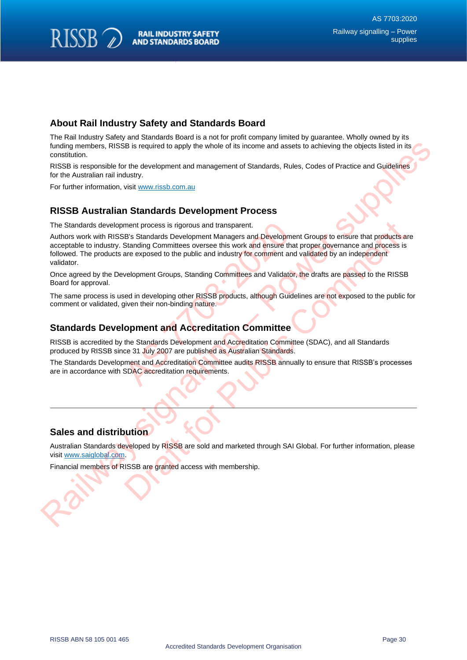## **About Rail Industry Safety and Standards Board**

The Rail Industry Safety and Standards Board is a not for profit company limited by guarantee. Wholly owned by its funding members, RISSB is required to apply the whole of its income and assets to achieving the objects listed in its constitution.

RISSB is responsible for the development and management of Standards, Rules, Codes of Practice and Guidelines for the Australian rail industry.

For further information, visit www.rissb.com.au

**RISSB** 

### **RISSB Australian Standards Development Process**

The Standards development process is rigorous and transparent.

Authors work with RISSB's Standards Development Managers and Development Groups to ensure that products are acceptable to industry. Standing Committees oversee this work and ensure that proper governance and process is followed. The products are exposed to the public and industry for comment and validated by an independent validator. ment process is rigorous and transparent.<br>
El's Standards Development Managers and Developmer<br>
Standing Committees oversee this work and ensure that<br>
are exposed to the public and industry for comment and<br>
velopment Groups Intending members. RISSB is required to apply the whole of its incomic and assess to achieving the objects issical in its<br>
RISSB is responsible for the development and management of Slandards, Rules, Codes of Practice and ment process is rigorous and transparent.<br>
Standards Development Groups to ensure that products<br>
Bis Standards Development Managers and Development Groups to ensure that products<br>
Standing Committees oversee this work and

Once agreed by the Development Groups, Standing Committees and Validator, the drafts are passed to the RISSB Board for approval.

The same process is used in developing other RISSB products, although Guidelines are not exposed to the public for comment or validated, given their non-binding nature.

#### **Standards Development and Accreditation Committee**

RISSB is accredited by the Standards Development and Accreditation Committee (SDAC), and all Standards produced by RISSB since 31 July 2007 are published as Australian Standards.

The Standards Development and Accreditation Committee audits RISSB annually to ensure that RISSB's processes are in accordance with SDAC accreditation requirements.

### **Sales and distribution**

Australian Standards developed by RISSB are sold and marketed through SAI Global. For further information, please visit www.saiglobal.com.

Financial members of RISSB are granted access with membership.